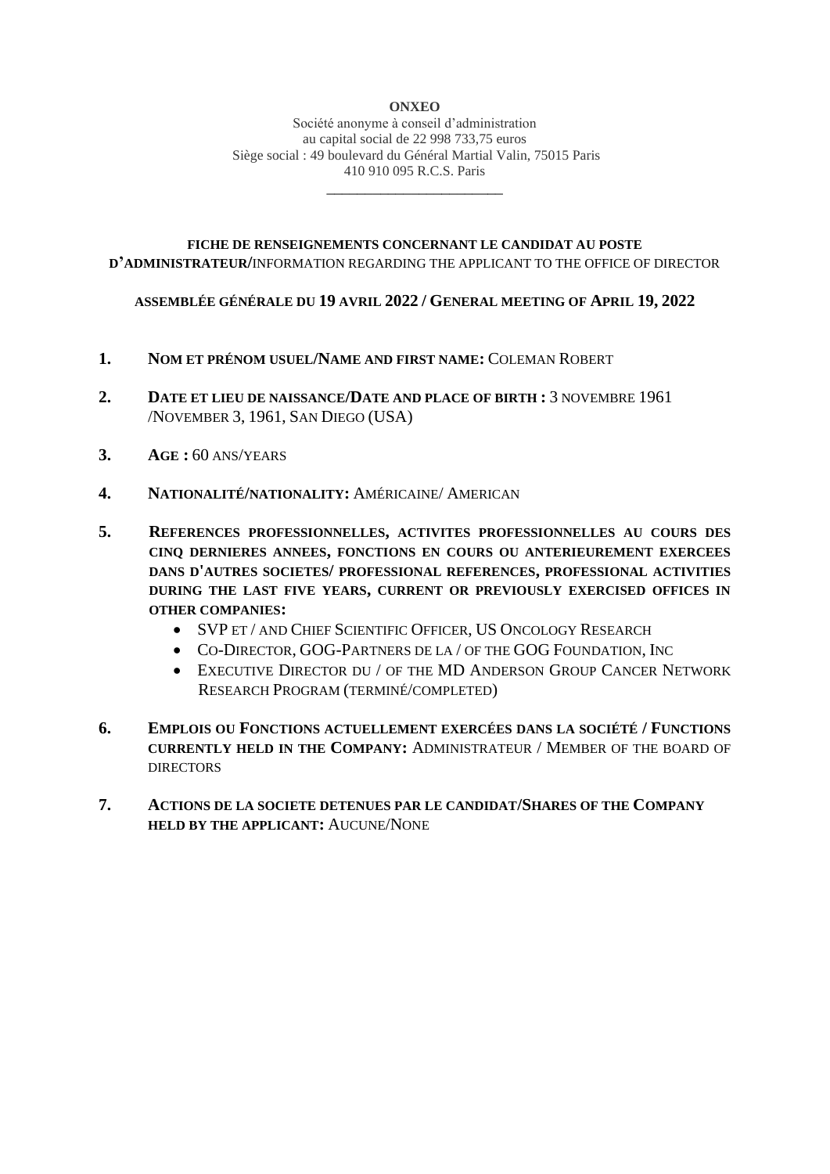Société anonyme à conseil d'administration au capital social de 22 998 733,75 euros Siège social : 49 boulevard du Général Martial Valin, 75015 Paris 410 910 095 R.C.S. Paris

\_\_\_\_\_\_\_\_\_\_\_\_\_\_\_\_\_\_\_\_\_\_\_

# **FICHE DE RENSEIGNEMENTS CONCERNANT LE CANDIDAT AU POSTE D'ADMINISTRATEUR/**INFORMATION REGARDING THE APPLICANT TO THE OFFICE OF DIRECTOR

# **ASSEMBLÉE GÉNÉRALE DU 19 AVRIL 2022 / GENERAL MEETING OF APRIL 19, 2022**

- **1. NOM ET PRÉNOM USUEL/NAME AND FIRST NAME:** COLEMAN ROBERT
- **2. DATE ET LIEU DE NAISSANCE/DATE AND PLACE OF BIRTH :** 3 NOVEMBRE 1961 /NOVEMBER 3, 1961, SAN DIEGO (USA)
- **3. AGE :** 60 ANS/YEARS
- **4. NATIONALITÉ/NATIONALITY:** AMÉRICAINE/ AMERICAN
- **5. REFERENCES PROFESSIONNELLES, ACTIVITES PROFESSIONNELLES AU COURS DES CINQ DERNIERES ANNEES, FONCTIONS EN COURS OU ANTERIEUREMENT EXERCEES DANS D'AUTRES SOCIETES/ PROFESSIONAL REFERENCES, PROFESSIONAL ACTIVITIES DURING THE LAST FIVE YEARS, CURRENT OR PREVIOUSLY EXERCISED OFFICES IN OTHER COMPANIES:**
	- SVP ET / AND CHIEF SCIENTIFIC OFFICER, US ONCOLOGY RESEARCH
	- CO-DIRECTOR, GOG-PARTNERS DE LA / OF THE GOG FOUNDATION, INC
	- EXECUTIVE DIRECTOR DU / OF THE MD ANDERSON GROUP CANCER NETWORK RESEARCH PROGRAM (TERMINÉ/COMPLETED)
- **6. EMPLOIS OU FONCTIONS ACTUELLEMENT EXERCÉES DANS LA SOCIÉTÉ / FUNCTIONS CURRENTLY HELD IN THE COMPANY:** ADMINISTRATEUR / MEMBER OF THE BOARD OF **DIRECTORS**
- **7. ACTIONS DE LA SOCIETE DETENUES PAR LE CANDIDAT/SHARES OF THE COMPANY HELD BY THE APPLICANT:** AUCUNE/NONE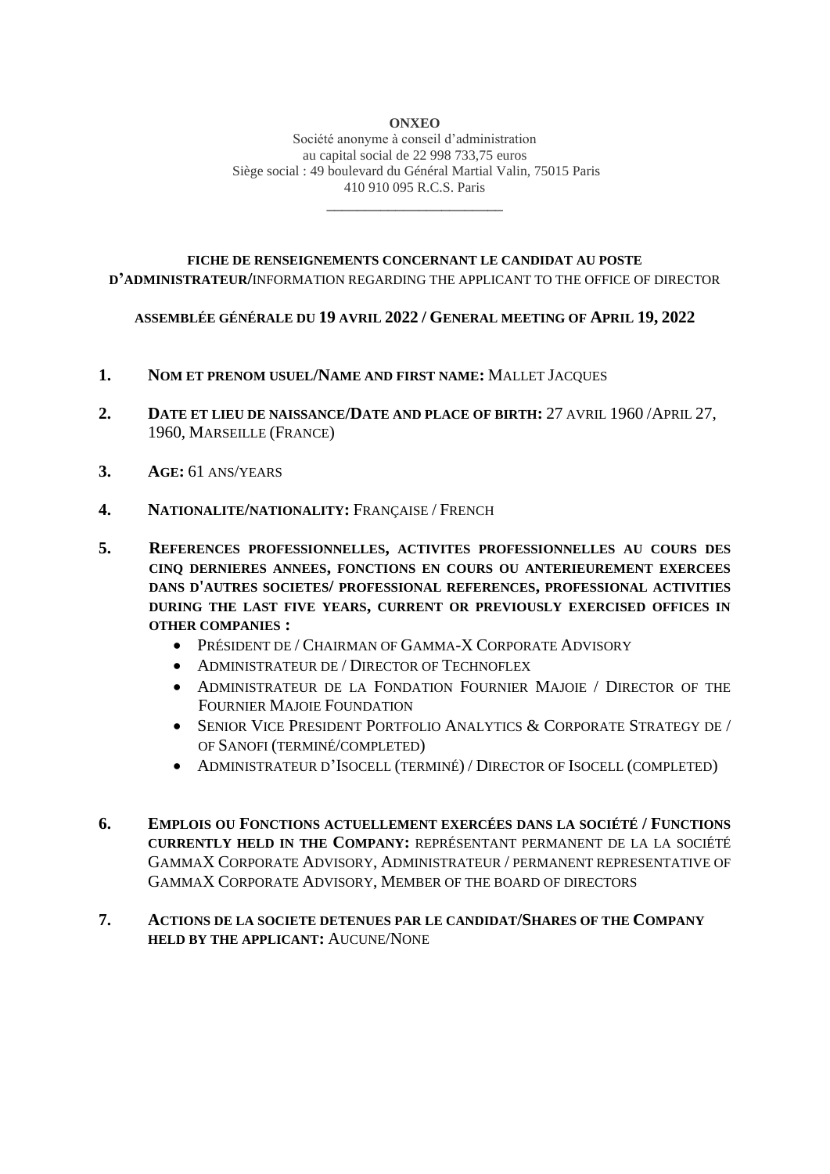Société anonyme à conseil d'administration au capital social de 22 998 733,75 euros Siège social : 49 boulevard du Général Martial Valin, 75015 Paris 410 910 095 R.C.S. Paris

\_\_\_\_\_\_\_\_\_\_\_\_\_\_\_\_\_\_\_\_\_\_\_

# **FICHE DE RENSEIGNEMENTS CONCERNANT LE CANDIDAT AU POSTE D'ADMINISTRATEUR/**INFORMATION REGARDING THE APPLICANT TO THE OFFICE OF DIRECTOR

### **ASSEMBLÉE GÉNÉRALE DU 19 AVRIL 2022 / GENERAL MEETING OF APRIL 19, 2022**

- **1. NOM ET PRENOM USUEL/NAME AND FIRST NAME:** MALLET JACQUES
- **2. DATE ET LIEU DE NAISSANCE/DATE AND PLACE OF BIRTH:** 27 AVRIL 1960 /APRIL 27, 1960, MARSEILLE (FRANCE)
- **3. AGE:** 61 ANS/YEARS
- **4. NATIONALITE/NATIONALITY:** FRANÇAISE / FRENCH
- **5. REFERENCES PROFESSIONNELLES, ACTIVITES PROFESSIONNELLES AU COURS DES CINQ DERNIERES ANNEES, FONCTIONS EN COURS OU ANTERIEUREMENT EXERCEES DANS D'AUTRES SOCIETES/ PROFESSIONAL REFERENCES, PROFESSIONAL ACTIVITIES DURING THE LAST FIVE YEARS, CURRENT OR PREVIOUSLY EXERCISED OFFICES IN OTHER COMPANIES :**
	- PRÉSIDENT DE / CHAIRMAN OF GAMMA-X CORPORATE ADVISORY
	- ADMINISTRATEUR DE / DIRECTOR OF TECHNOFLEX
	- ADMINISTRATEUR DE LA FONDATION FOURNIER MAJOIE / DIRECTOR OF THE FOURNIER MAJOIE FOUNDATION
	- SENIOR VICE PRESIDENT PORTFOLIO ANALYTICS & CORPORATE STRATEGY DE / OF SANOFI (TERMINÉ/COMPLETED)
	- ADMINISTRATEUR D'ISOCELL (TERMINÉ) / DIRECTOR OF ISOCELL (COMPLETED)
- **6. EMPLOIS OU FONCTIONS ACTUELLEMENT EXERCÉES DANS LA SOCIÉTÉ / FUNCTIONS CURRENTLY HELD IN THE COMPANY:** REPRÉSENTANT PERMANENT DE LA LA SOCIÉTÉ GAMMAX CORPORATE ADVISORY, ADMINISTRATEUR / PERMANENT REPRESENTATIVE OF GAMMAX CORPORATE ADVISORY, MEMBER OF THE BOARD OF DIRECTORS

# **7. ACTIONS DE LA SOCIETE DETENUES PAR LE CANDIDAT/SHARES OF THE COMPANY HELD BY THE APPLICANT:** AUCUNE/NONE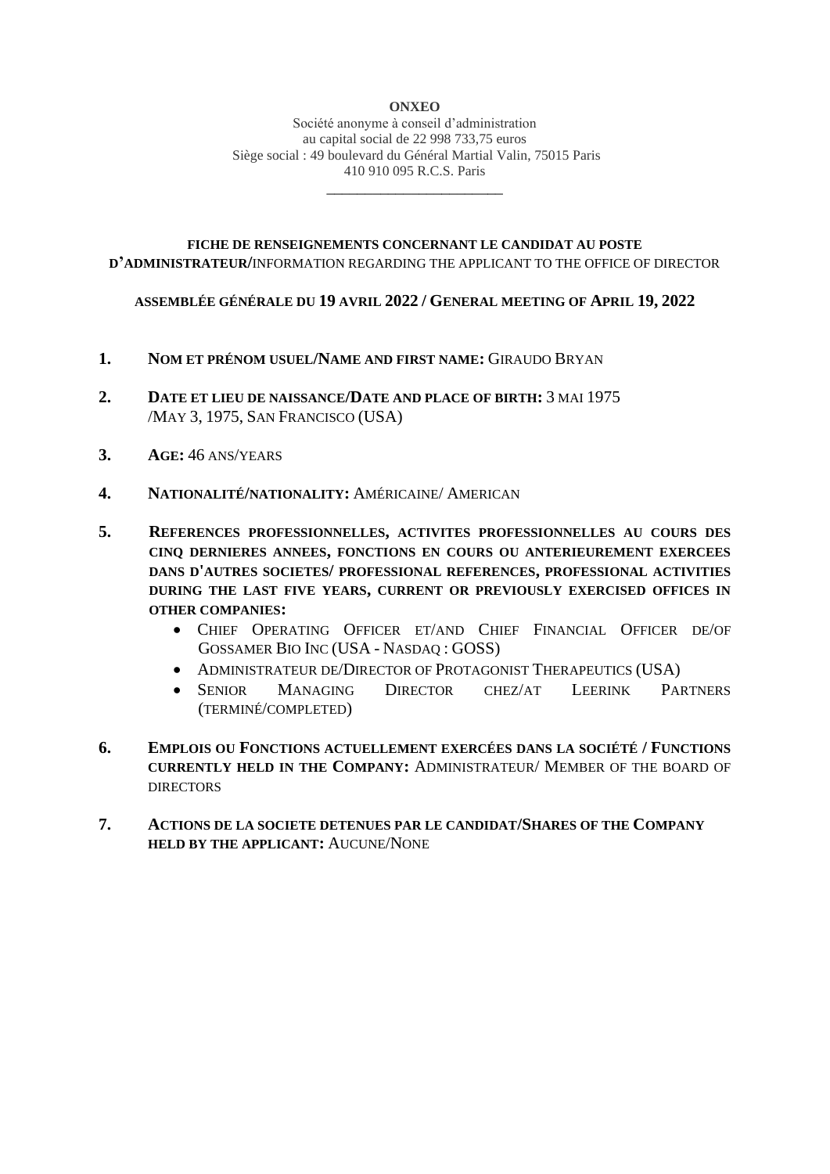Société anonyme à conseil d'administration au capital social de 22 998 733,75 euros Siège social : 49 boulevard du Général Martial Valin, 75015 Paris 410 910 095 R.C.S. Paris

\_\_\_\_\_\_\_\_\_\_\_\_\_\_\_\_\_\_\_\_\_\_\_

# **FICHE DE RENSEIGNEMENTS CONCERNANT LE CANDIDAT AU POSTE D'ADMINISTRATEUR/**INFORMATION REGARDING THE APPLICANT TO THE OFFICE OF DIRECTOR

### **ASSEMBLÉE GÉNÉRALE DU 19 AVRIL 2022 / GENERAL MEETING OF APRIL 19, 2022**

- **1. NOM ET PRÉNOM USUEL/NAME AND FIRST NAME:** GIRAUDO BRYAN
- **2. DATE ET LIEU DE NAISSANCE/DATE AND PLACE OF BIRTH:** 3 MAI 1975 /MAY 3, 1975, SAN FRANCISCO (USA)
- **3. AGE:** 46 ANS/YEARS
- **4. NATIONALITÉ/NATIONALITY:** AMÉRICAINE/ AMERICAN
- **5. REFERENCES PROFESSIONNELLES, ACTIVITES PROFESSIONNELLES AU COURS DES CINQ DERNIERES ANNEES, FONCTIONS EN COURS OU ANTERIEUREMENT EXERCEES DANS D'AUTRES SOCIETES/ PROFESSIONAL REFERENCES, PROFESSIONAL ACTIVITIES DURING THE LAST FIVE YEARS, CURRENT OR PREVIOUSLY EXERCISED OFFICES IN OTHER COMPANIES:**
	- CHIEF OPERATING OFFICER ET/AND CHIEF FINANCIAL OFFICER DE/OF GOSSAMER BIO INC (USA - NASDAQ : GOSS)
	- ADMINISTRATEUR DE/DIRECTOR OF PROTAGONIST THERAPEUTICS (USA)
	- SENIOR MANAGING DIRECTOR CHEZ/AT LEERINK PARTNERS (TERMINÉ/COMPLETED)
- **6. EMPLOIS OU FONCTIONS ACTUELLEMENT EXERCÉES DANS LA SOCIÉTÉ / FUNCTIONS CURRENTLY HELD IN THE COMPANY:** ADMINISTRATEUR/ MEMBER OF THE BOARD OF DIRECTORS
- **7. ACTIONS DE LA SOCIETE DETENUES PAR LE CANDIDAT/SHARES OF THE COMPANY HELD BY THE APPLICANT:** AUCUNE/NONE